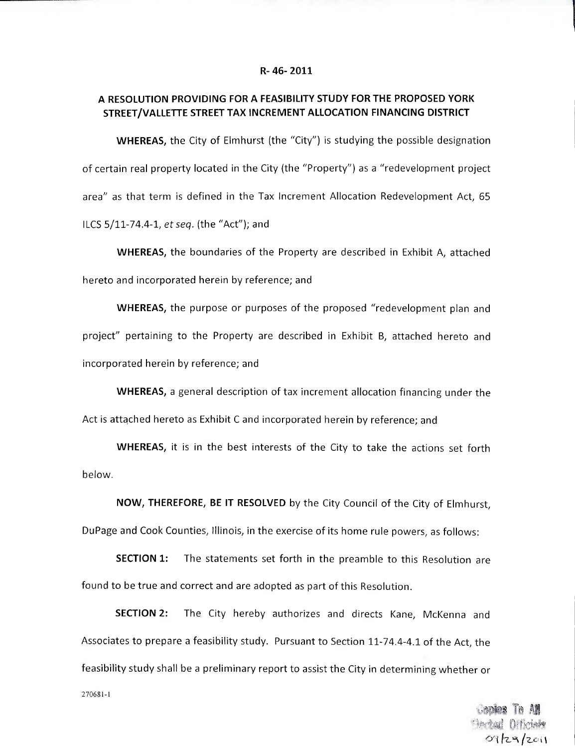#### **R- 46-2011**

# **A RESOLUTION PROVIDING FOR A FEASIBILITY STUDY FOR THE PROPOSED YORK STREET/VALLETTE STREET TAX INCREMENT ALLOCATION FINANCING DISTRICT**

**WHEREAS,** the City of Elmhurst (the "City") is studying the possible designation of certain real property located in the City (the "Property") as a "redevelopment project area" as that term is defined in the Tax Increment Allocation Redevelopment Act, 65 ILCS 5/11-74.4-1, etseq. (the "Act"); and

**WHEREAS,** the boundaries of the Property are described in Exhibit A, attached hereto and incorporated herein by reference; and

**WHEREAS,** the purpose or purposes of the proposed "redevelopment plan and project" pertaining to the Property are described in Exhibit B, attached hereto and incorporated herein by reference; and

**WHEREAS,** a general description of tax increment allocation financing under the Act is attached hereto as Exhibit C and incorporated herein by reference; and

**WHEREAS,** it is in the best interests of the City to take the actions set forth below.

**NOW, THEREFORE, BE IT RESOLVED** by the City Council of the City of Elmhurst, DuPage and Cook Counties, Illinois, in the exercise of its home rule powers, as follows:

**SECTION 1:** The statements set forth in the preamble to this Resolution are found to be true and correct and are adopted as part of this Resolution.

**SECTION 2:** The City hereby authorizes and directs Kane, McKenna and Associates to prepare a feasibility study. Pursuant to Section 11-74.4-4.1 of the Act, the feasibility study shall be a preliminary report to assist the City in determining whether or

270681-1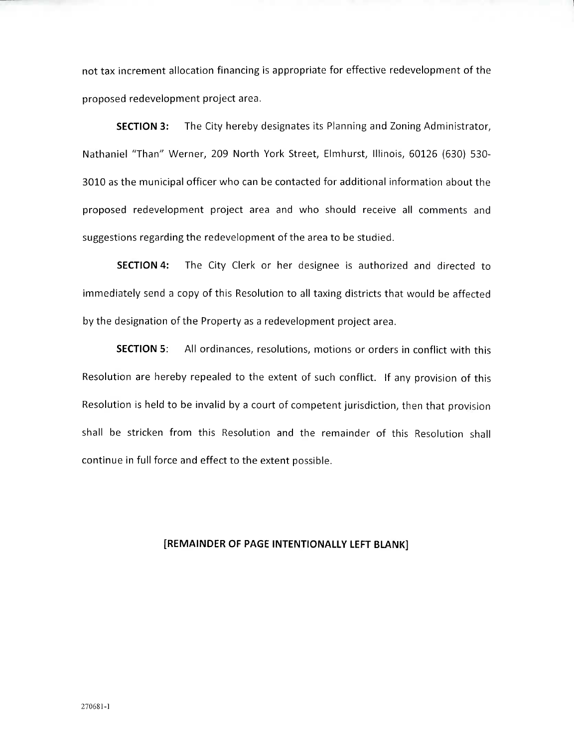not tax increment allocation financing is appropriate for effective redevelopment of the proposed redevelopment project area.

**SECTION 3:** The City hereby designates its Planning and Zoning Administrator, Nathaniel "Than" Werner, 209 North York Street, Elmhurst, Illinois, 60126 (630) 530- 3010 as the municipal officer who can be contacted for additional information about the proposed redevelopment project area and who should receive all comments and suggestions regarding the redevelopment of the area to be studied.

**SECTION 4:** The City Clerk or her designee is authorized and directed to immediately send a copy of this Resolution to all taxing districts that would be affected by the designation of the Property as a redevelopment project area.

**SECTION 5:** All ordinances, resolutions, motions or orders in conflict with this Resolution are hereby repealed to the extent of such conflict. If any provision of this Resolution is held to be invalid by a court of competent jurisdiction, then that provision shall be stricken from this Resolution and the remainder of this Resolution shall continue in full force and effect to the extent possible.

## **[REMAINDER OF PAGE INTENTIONALLY LEFT BLANK]**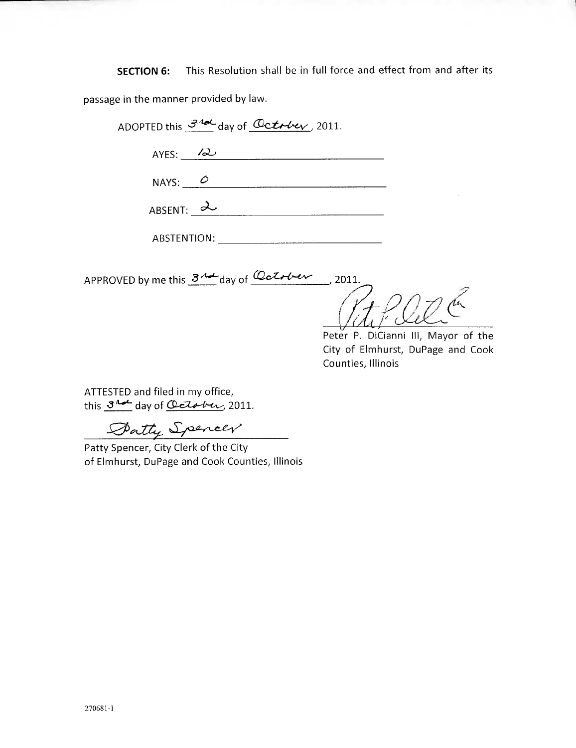**SECTION 6:** This Resolution shall be in full force and effect from and after its

passage in the manner provided by law.

ADOPTED this  $\frac{34d}{d}$  day of  $\frac{0}{d}$  detr $\frac{1}{d}$ , 2011.

AYES: 12

NAYS:  $\overline{\qquad}$ 

| <b>ARSENT:</b> |  |
|----------------|--|
|                |  |

ABSTENTION:

APPROVED by me this  $3^{4}$  day of  $\frac{6}{1}$  day to  $\frac{1}{1}$ , 2011.

Peter P. DiCianni III, Mayor of the City of Elmhurst, DuPage and Cook Counties, Illinois

ATTESTED and filed in my office, this  $3^{nd}$  day of October, 2011.

Datty Spencer

Patty Spencer, City Clerk of the City of Elmhurst, DuPage and Cook Counties, Illinois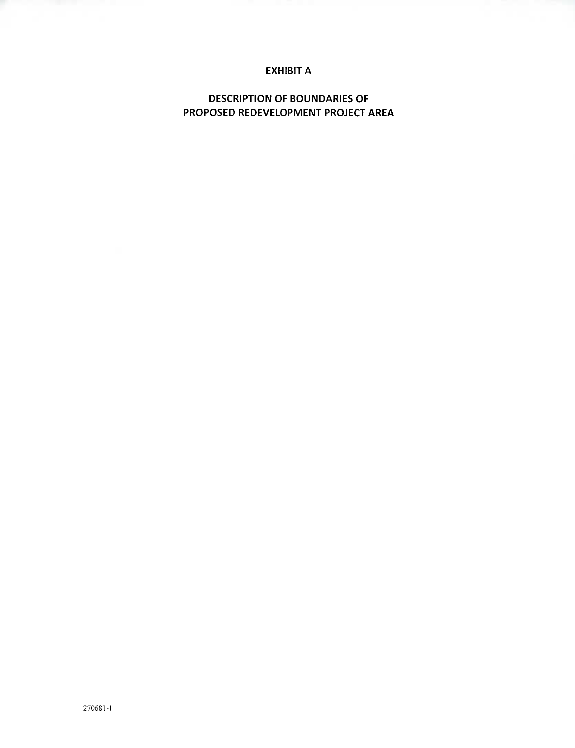# **EXHIBIT A**

**DESCRIPTION OF BOUNDARIES OF PROPOSED REDEVELOPMENT PROJECT AREA**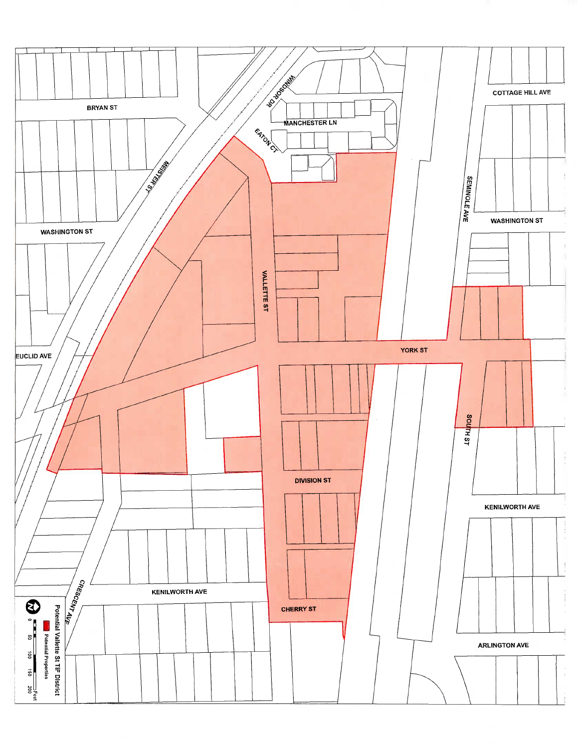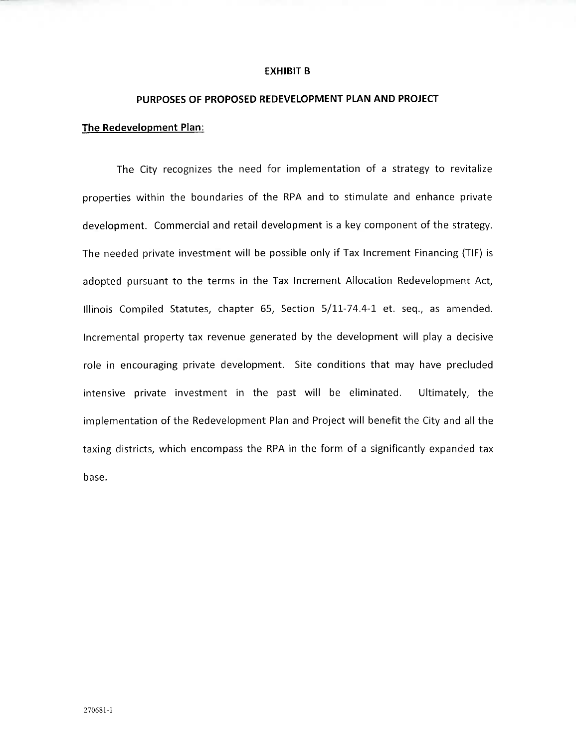#### **EXHIBIT B**

#### **PURPOSES OF PROPOSED REDEVELOPMENT PLAN AND PROJECT**

#### **The Redevelopment Plan:**

The City recognizes the need for implementation of a strategy to revitalize properties within the boundaries of the RPA and to stimulate and enhance private development. Commercial and retail development is a key component of the strategy. The needed private investment will be possible only if Tax Increment Financing (TIF) is adopted pursuant to the terms in the Tax Increment Allocation Redevelopment Act, Illinois Compiled Statutes, chapter 65, Section 5/11-74.4-1 et. seq., as amended. Incremental property tax revenue generated by the development will play a decisive role in encouraging private development. Site conditions that may have precluded intensive private investment in the past will be eliminated. Ultimately, the implementation of the Redevelopment Plan and Project will benefit the City and all the taxing districts, which encompass the RPA in the form of a significantly expanded tax base.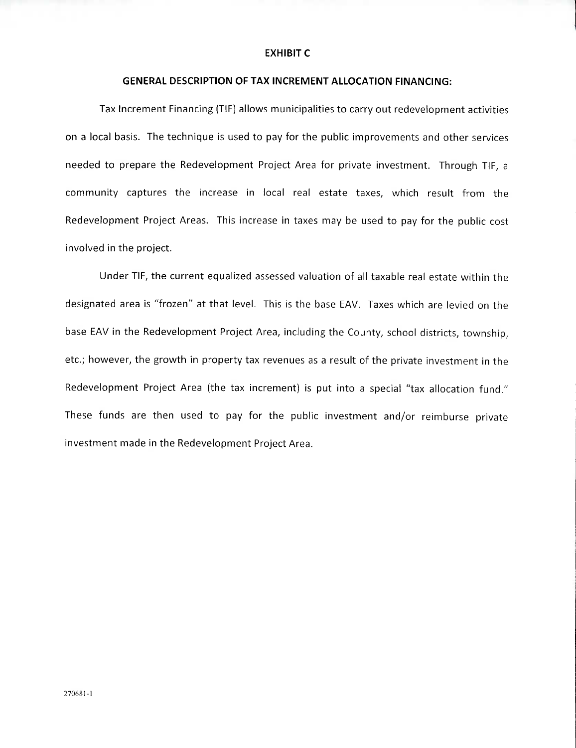#### **EXHIBIT C**

### **GENERAL DESCRIPTION OF TAX INCREMENT ALLOCATION FINANCING:**

Tax Increment Financing (TIP) allows municipalities to carry out redevelopment activities on a local basis. The technique is used to pay for the public improvements and other services needed to prepare the Redevelopment Project Area for private investment. Through TIP, a community captures the increase in local real estate taxes, which result from the Redevelopment Project Areas. This increase in taxes may be used to pay for the public cost involved in the project.

Under TIP, the current equalized assessed valuation of all taxable real estate within the designated area is "frozen" at that level. This is the base EAV. Taxes which are levied on the base EAV in the Redevelopment Project Area, including the County, school districts, township, etc.; however, the growth in property tax revenues as a result of the private investment in the Redevelopment Project Area (the tax increment) is put into a special "tax allocation fund." These funds are then used to pay for the public investment and/or reimburse private investment made in the Redevelopment Project Area.